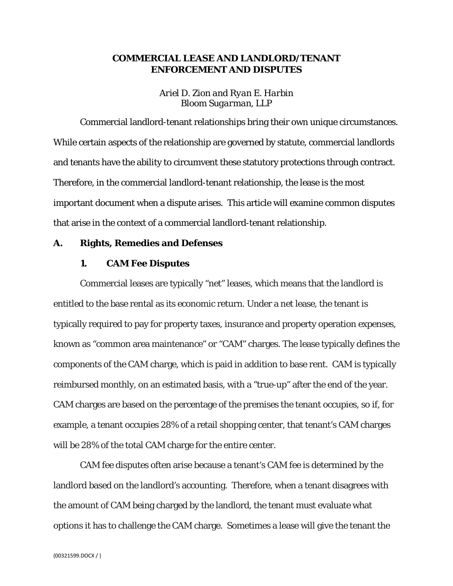# **COMMERCIAL LEASE AND LANDLORD/TENANT ENFORCEMENT AND DISPUTES**

*Ariel D. Zion and Ryan E. Harbin Bloom Sugarman, LLP*

Commercial landlord-tenant relationships bring their own unique circumstances. While certain aspects of the relationship are governed by statute, commercial landlords and tenants have the ability to circumvent these statutory protections through contract. Therefore, in the commercial landlord-tenant relationship, the lease is the most important document when a dispute arises. This article will examine common disputes that arise in the context of a commercial landlord-tenant relationship.

### **A. Rights, Remedies and Defenses**

#### **1. CAM Fee Disputes**

Commercial leases are typically "net" leases, which means that the landlord is entitled to the base rental as its economic return. Under a net lease, the tenant is typically required to pay for property taxes, insurance and property operation expenses, known as "common area maintenance" or "CAM" charges. The lease typically defines the components of the CAM charge, which is paid in addition to base rent. CAM is typically reimbursed monthly, on an estimated basis, with a "true-up" after the end of the year. CAM charges are based on the percentage of the premises the tenant occupies, so if, for example, a tenant occupies 28% of a retail shopping center, that tenant's CAM charges will be 28% of the total CAM charge for the entire center.

CAM fee disputes often arise because a tenant's CAM fee is determined by the landlord based on the landlord's accounting. Therefore, when a tenant disagrees with the amount of CAM being charged by the landlord, the tenant must evaluate what options it has to challenge the CAM charge. Sometimes a lease will give the tenant the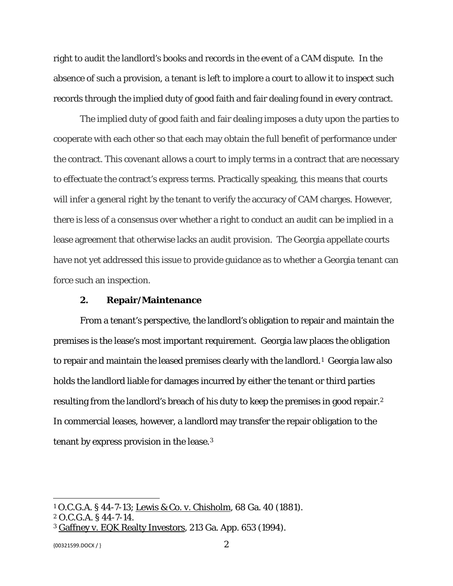right to audit the landlord's books and records in the event of a CAM dispute. In the absence of such a provision, a tenant is left to implore a court to allow it to inspect such records through the implied duty of good faith and fair dealing found in every contract.

The implied duty of good faith and fair dealing imposes a duty upon the parties to cooperate with each other so that each may obtain the full benefit of performance under the contract. This covenant allows a court to imply terms in a contract that are necessary to effectuate the contract's express terms. Practically speaking, this means that courts will infer a general right by the tenant to verify the accuracy of CAM charges. However, there is less of a consensus over whether a right to conduct an audit can be implied in a lease agreement that otherwise lacks an audit provision. The Georgia appellate courts have not yet addressed this issue to provide guidance as to whether a Georgia tenant can force such an inspection.

#### **2. Repair/Maintenance**

From a tenant's perspective, the landlord's obligation to repair and maintain the premises is the lease's most important requirement. Georgia law places the obligation to repair and maintain the leased premises clearly with the landlord.[1](#page-1-0) Georgia law also holds the landlord liable for damages incurred by either the tenant or third parties resulting from the landlord's breach of his duty to keep the premises in good repair.[2](#page-1-1) In commercial leases, however, a landlord may transfer the repair obligation to the tenant by express provision in the lease.[3](#page-1-2)

{00321599.DOCX / }  $2$ 

<span id="page-1-0"></span><sup>1</sup> O.C.G.A. § 44-7-13; Lewis & Co. v. Chisholm, 68 Ga. 40 (1881).

<span id="page-1-1"></span><sup>2</sup> O.C.G.A. § 44-7-14.

<span id="page-1-2"></span><sup>3</sup> Gaffney v. EQK Realty Investors, 213 Ga. App. 653 (1994).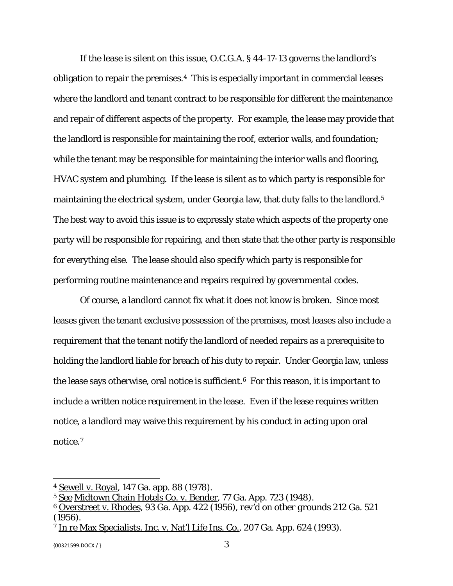If the lease is silent on this issue, O.C.G.A. § 44-17-13 governs the landlord's obligation to repair the premises.[4](#page-2-0) This is especially important in commercial leases where the landlord and tenant contract to be responsible for different the maintenance and repair of different aspects of the property. For example, the lease may provide that the landlord is responsible for maintaining the roof, exterior walls, and foundation; while the tenant may be responsible for maintaining the interior walls and flooring, HVAC system and plumbing. If the lease is silent as to which party is responsible for maintaining the electrical system, under Georgia law, that duty falls to the landlord.<sup>5</sup> The best way to avoid this issue is to expressly state which aspects of the property one party will be responsible for repairing, and then state that the other party is responsible for everything else. The lease should also specify which party is responsible for performing routine maintenance and repairs required by governmental codes.

Of course, a landlord cannot fix what it does not know is broken. Since most leases given the tenant exclusive possession of the premises, most leases also include a requirement that the tenant notify the landlord of needed repairs as a prerequisite to holding the landlord liable for breach of his duty to repair. Under Georgia law, unless the lease says otherwise, oral notice is sufficient.<sup>6</sup> For this reason, it is important to include a written notice requirement in the lease. Even if the lease requires written notice, a landlord may waive this requirement by his conduct in acting upon oral notice.[7](#page-2-3)

<span id="page-2-0"></span><sup>4</sup> Sewell v. Royal, 147 Ga. app. 88 (1978).

<span id="page-2-1"></span><sup>5</sup> See Midtown Chain Hotels Co. v. Bender, 77 Ga. App. 723 (1948).

<span id="page-2-2"></span><sup>6</sup> Overstreet v. Rhodes, 93 Ga. App. 422 (1956), *rev'd on other grounds* 212 Ga. 521 (1956).

<span id="page-2-3"></span><sup>7</sup> In re Max Specialists, Inc. v. Nat'l Life Ins. Co., 207 Ga. App. 624 (1993).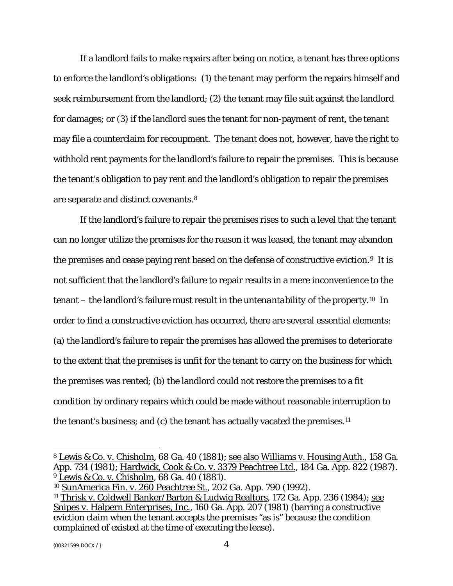If a landlord fails to make repairs after being on notice, a tenant has three options to enforce the landlord's obligations: (1) the tenant may perform the repairs himself and seek reimbursement from the landlord; (2) the tenant may file suit against the landlord for damages; or (3) if the landlord sues the tenant for non-payment of rent, the tenant may file a counterclaim for recoupment. The tenant does not, however, have the right to withhold rent payments for the landlord's failure to repair the premises. This is because the tenant's obligation to pay rent and the landlord's obligation to repair the premises are separate and distinct covenants.[8](#page-3-0) 

If the landlord's failure to repair the premises rises to such a level that the tenant can no longer utilize the premises for the reason it was leased, the tenant may abandon the premises and cease paying rent based on the defense of constructive eviction.[9](#page-3-1) It is not sufficient that the landlord's failure to repair results in a mere inconvenience to the tenant – the landlord's failure must result in the *untenantability* of the property.[10](#page-3-2) In order to find a constructive eviction has occurred, there are several essential elements: (a) the landlord's failure to repair the premises has allowed the premises to deteriorate to the extent that the premises is unfit for the tenant to carry on the business for which the premises was rented; (b) the landlord could not restore the premises to a fit condition by ordinary repairs which could be made without reasonable interruption to the tenant's business; and (c) the tenant has actually vacated the premises.[11](#page-3-3)

<span id="page-3-0"></span><sup>8</sup> Lewis & Co. v. Chisholm, 68 Ga. 40 (1881); see also Williams v. Housing Auth., 158 Ga. App. 734 (1981); Hardwick, Cook & Co. v. 3379 Peachtree Ltd., 184 Ga. App. 822 (1987). <sup>9</sup> Lewis & Co. v. Chisholm, 68 Ga. 40 (1881).

<span id="page-3-2"></span><span id="page-3-1"></span><sup>10</sup> SunAmerica Fin. v. 260 Peachtree St., 202 Ga. App. 790 (1992).

<span id="page-3-3"></span><sup>11</sup> Thrisk v. Coldwell Banker/Barton & Ludwig Realtors, 172 Ga. App. 236 (1984); see Snipes v. Halpern Enterprises, Inc., 160 Ga. App. 207 (1981) (barring a constructive eviction claim when the tenant accepts the premises "as is" because the condition complained of existed at the time of executing the lease).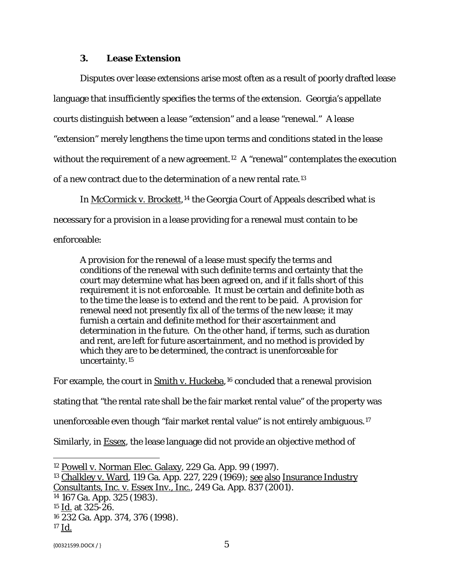### **3. Lease Extension**

Disputes over lease extensions arise most often as a result of poorly drafted lease language that insufficiently specifies the terms of the extension. Georgia's appellate courts distinguish between a lease "extension" and a lease "renewal." A lease "extension" merely lengthens the time upon terms and conditions stated in the lease without the requirement of a new agreement.[12](#page-4-0) A "renewal" contemplates the execution of a new contract due to the determination of a new rental rate.[13](#page-4-1) 

In McCormick v. Brockett,<sup>[14](#page-4-2)</sup> the Georgia Court of Appeals described what is necessary for a provision in a lease providing for a renewal must contain to be enforceable:

A provision for the renewal of a lease must specify the terms and conditions of the renewal with such definite terms and certainty that the court may determine what has been agreed on, and if it falls short of this requirement it is not enforceable. It must be certain and definite both as to the time the lease is to extend and the rent to be paid. A provision for renewal need not presently fix all of the terms of the new lease; it may furnish a certain and definite method for their ascertainment and determination in the future. On the other hand, if terms, such as duration and rent, are left for future ascertainment, and no method is provided by which they are to be determined, the contract is unenforceable for uncertainty.[15](#page-4-3)

For example, the court in Smith v. Huckeba,<sup>[16](#page-4-4)</sup> concluded that a renewal provision stating that "the rental rate shall be the fair market rental value" of the property was unenforceable even though "fair market rental value" is not entirely ambiguous.[17](#page-4-5) Similarly, in Essex, the lease language did not provide an objective method of

<span id="page-4-4"></span><sup>16</sup> 232 Ga. App. 374, 376 (1998).

<span id="page-4-0"></span><sup>12</sup> Powell v. Norman Elec. Galaxy, 229 Ga. App. 99 (1997).

<span id="page-4-1"></span><sup>13</sup> Chalkley v. Ward, 119 Ga. App. 227, 229 (1969); see also Insurance Industry Consultants, Inc. v. Essex Inv., Inc., 249 Ga. App. 837 (2001).

<span id="page-4-2"></span><sup>14</sup> 167 Ga. App. 325 (1983).

<span id="page-4-3"></span><sup>15</sup> Id. at 325-26.

<span id="page-4-5"></span><sup>17</sup> Id.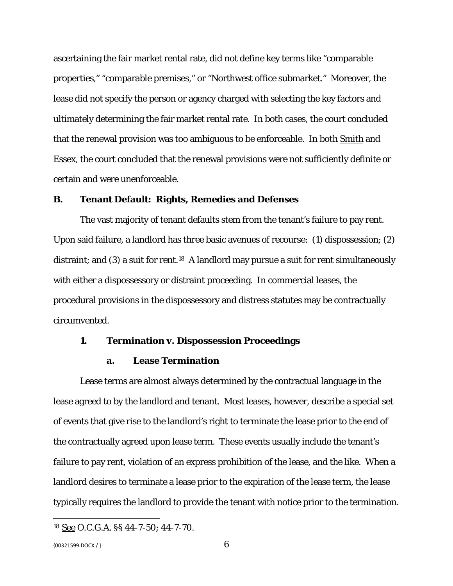ascertaining the fair market rental rate, did not define key terms like "comparable properties," "comparable premises," or "Northwest office submarket." Moreover, the lease did not specify the person or agency charged with selecting the key factors and ultimately determining the fair market rental rate. In both cases, the court concluded that the renewal provision was too ambiguous to be enforceable. In both Smith and Essex, the court concluded that the renewal provisions were not sufficiently definite or certain and were unenforceable.

### **B. Tenant Default: Rights, Remedies and Defenses**

The vast majority of tenant defaults stem from the tenant's failure to pay rent. Upon said failure, a landlord has three basic avenues of recourse: (1) dispossession; (2) distraint; and (3) a suit for rent.<sup>[18](#page-5-0)</sup> A landlord may pursue a suit for rent simultaneously with either a dispossessory or distraint proceeding. In commercial leases, the procedural provisions in the dispossessory and distress statutes may be contractually circumvented.

#### **1. Termination v. Dispossession Proceedings**

#### **a. Lease Termination**

Lease terms are almost always determined by the contractual language in the lease agreed to by the landlord and tenant. Most leases, however, describe a special set of events that give rise to the landlord's right to terminate the lease prior to the end of the contractually agreed upon lease term. These events usually include the tenant's failure to pay rent, violation of an express prohibition of the lease, and the like. When a landlord desires to terminate a lease prior to the expiration of the lease term, the lease typically requires the landlord to provide the tenant with notice prior to the termination.

<span id="page-5-0"></span><sup>18</sup> See O.C.G.A. §§ 44-7-50; 44-7-70.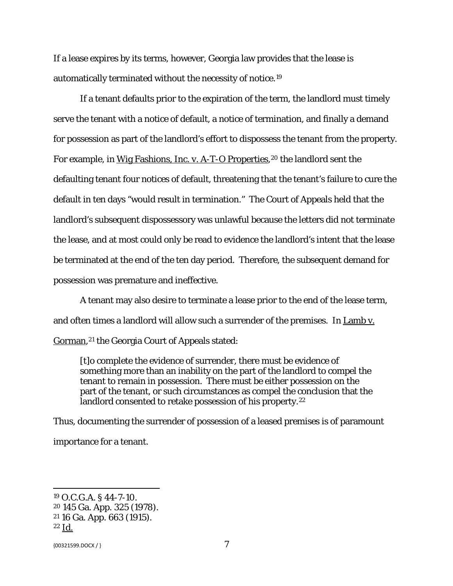If a lease expires by its terms, however, Georgia law provides that the lease is automatically terminated without the necessity of notice.[19](#page-6-0)

If a tenant defaults prior to the expiration of the term, the landlord must timely serve the tenant with a notice of default, a notice of termination, and finally a demand for possession as part of the landlord's effort to dispossess the tenant from the property. For example, in Wig Fashions, Inc. v. A-T-O Properties, <sup>[20](#page-6-1)</sup> the landlord sent the defaulting tenant four notices of default, threatening that the tenant's failure to cure the default in ten days "would result in termination." The Court of Appeals held that the landlord's subsequent dispossessory was unlawful because the letters did not terminate the lease, and at most could only be read to evidence the landlord's intent that the lease be terminated at the end of the ten day period. Therefore, the subsequent demand for possession was premature and ineffective.

A tenant may also desire to terminate a lease prior to the end of the lease term, and often times a landlord will allow such a surrender of the premises. In Lamb v. Gorman,<sup>[21](#page-6-2)</sup> the Georgia Court of Appeals stated:

[t]o complete the evidence of surrender, there must be evidence of something more than an inability on the part of the landlord to compel the tenant to remain in possession. There must be either possession on the part of the tenant, or such circumstances as compel the conclusion that the landlord consented to retake possession of his property.<sup>[22](#page-6-3)</sup>

Thus, documenting the surrender of possession of a leased premises is of paramount importance for a tenant.

<span id="page-6-0"></span><sup>19</sup> O.C.G.A. § 44-7-10.

<span id="page-6-1"></span><sup>20</sup> 145 Ga. App. 325 (1978).

<span id="page-6-2"></span><sup>21</sup> 16 Ga. App. 663 (1915).

<span id="page-6-3"></span><sup>22</sup> Id.

 ${00321599. \text{DOCX} / }$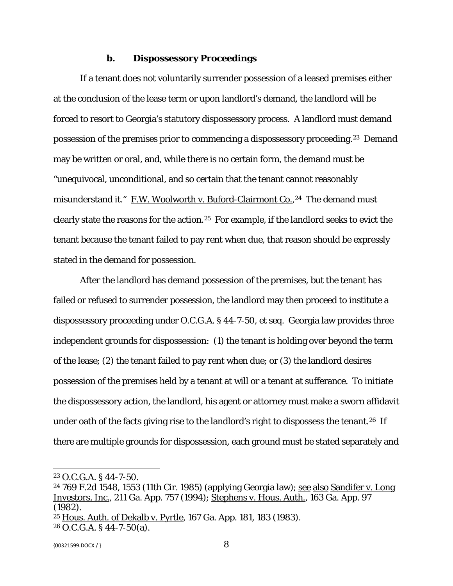### **b. Dispossessory Proceedings**

If a tenant does not voluntarily surrender possession of a leased premises either at the conclusion of the lease term or upon landlord's demand, the landlord will be forced to resort to Georgia's statutory dispossessory process. A landlord must demand possession of the premises prior to commencing a dispossessory proceeding.[23](#page-7-0) Demand may be written or oral, and, while there is no certain form, the demand must be "unequivocal, unconditional, and so certain that the tenant cannot reasonably misunderstand it." F.W. Woolworth v. Buford-Clairmont Co., <sup>24</sup> The demand must clearly state the reasons for the action.[25](#page-7-2) For example, if the landlord seeks to evict the tenant because the tenant failed to pay rent when due, that reason should be expressly stated in the demand for possession.

After the landlord has demand possession of the premises, but the tenant has failed or refused to surrender possession, the landlord may then proceed to institute a dispossessory proceeding under O.C.G.A. § 44-7-50, et seq. Georgia law provides three independent grounds for dispossession: (1) the tenant is holding over beyond the term of the lease; (2) the tenant failed to pay rent when due; or (3) the landlord desires possession of the premises held by a tenant at will or a tenant at sufferance. To initiate the dispossessory action, the landlord, his agent or attorney must make a sworn affidavit under oath of the facts giving rise to the landlord's right to dispossess the tenant.<sup>26</sup> If there are multiple grounds for dispossession, each ground must be stated separately and

<span id="page-7-0"></span><sup>23</sup> O.C.G.A. § 44-7-50.

<span id="page-7-1"></span><sup>&</sup>lt;sup>24</sup> 769 F.2d 1548, 1553 (11th Cir. 1985) (applying Georgia law); <u>see also Sandifer v. Long</u> Investors, Inc., 211 Ga. App. 757 (1994); Stephens v. Hous. Auth., 163 Ga. App. 97 (1982).

<span id="page-7-2"></span><sup>25</sup> Hous. Auth. of Dekalb v. Pyrtle, 167 Ga. App. 181, 183 (1983).

<span id="page-7-3"></span> $26$  O.C.G.A. § 44-7-50(a).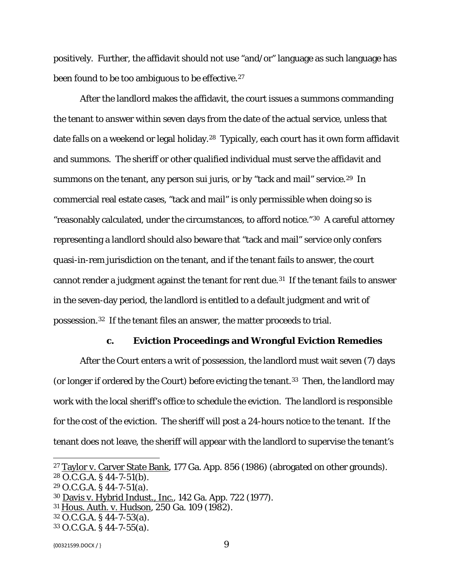positively. Further, the affidavit should not use "and/or" language as such language has been found to be too ambiguous to be effective.<sup>[27](#page-8-0)</sup>

After the landlord makes the affidavit, the court issues a summons commanding the tenant to answer within seven days from the date of the actual service, unless that date falls on a weekend or legal holiday.<sup>28</sup> Typically, each court has it own form affidavit and summons. The sheriff or other qualified individual must serve the affidavit and summons on the tenant, any person sui juris, or by "tack and mail" service.<sup>29</sup> In commercial real estate cases, "tack and mail" is only permissible when doing so is "reasonably calculated, under the circumstances, to afford notice."[30](#page-8-3) A careful attorney representing a landlord should also beware that "tack and mail" service only confers quasi-in-rem jurisdiction on the tenant, and if the tenant fails to answer, the court cannot render a judgment against the tenant for rent due.[31](#page-8-4) If the tenant fails to answer in the seven-day period, the landlord is entitled to a default judgment and writ of possession.[32](#page-8-5) If the tenant files an answer, the matter proceeds to trial.

### **c. Eviction Proceedings and Wrongful Eviction Remedies**

After the Court enters a writ of possession, the landlord must wait seven (7) days (or longer if ordered by the Court) before evicting the tenant.<sup>[33](#page-8-6)</sup> Then, the landlord may work with the local sheriff's office to schedule the eviction. The landlord is responsible for the cost of the eviction. The sheriff will post a 24-hours notice to the tenant. If the tenant does not leave, the sheriff will appear with the landlord to supervise the tenant's

<span id="page-8-5"></span><sup>32</sup> O.C.G.A. § 44-7-53(a).

<span id="page-8-0"></span><sup>27</sup> Taylor v. Carver State Bank, 177 Ga. App. 856 (1986) (abrogated on other grounds).  $28$  O.C.G.A. § 44-7-51(b).

<span id="page-8-2"></span><span id="page-8-1"></span><sup>29</sup> O.C.G.A. § 44-7-51(a).

<span id="page-8-3"></span><sup>30</sup> Davis v. Hybrid Indust., Inc., 142 Ga. App. 722 (1977).

<span id="page-8-4"></span><sup>31</sup> Hous. Auth. v. Hudson, 250 Ga. 109 (1982).

<span id="page-8-6"></span><sup>33</sup> O.C.G.A. § 44-7-55(a).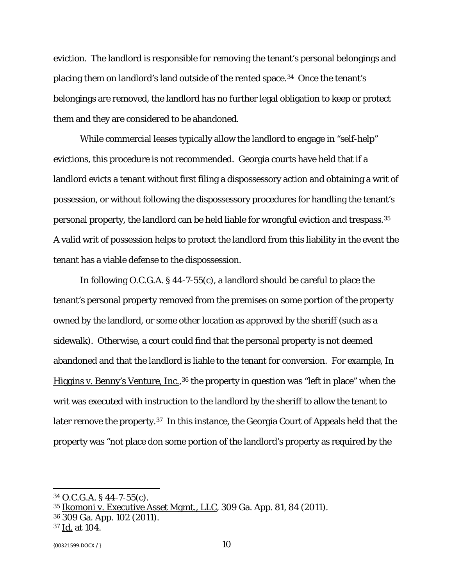eviction. The landlord is responsible for removing the tenant's personal belongings and placing them on landlord's land outside of the rented space.[34](#page-9-0) Once the tenant's belongings are removed, the landlord has no further legal obligation to keep or protect them and they are considered to be abandoned.

While commercial leases typically allow the landlord to engage in "self-help" evictions, this procedure is not recommended. Georgia courts have held that if a landlord evicts a tenant without first filing a dispossessory action and obtaining a writ of possession, or without following the dispossessory procedures for handling the tenant's personal property, the landlord can be held liable for wrongful eviction and trespass.[35](#page-9-1)  A valid writ of possession helps to protect the landlord from this liability in the event the tenant has a viable defense to the dispossession.

In following O.C.G.A. § 44-7-55(c), a landlord should be careful to place the tenant's personal property removed from the premises on some portion of the property owned by the landlord, or some other location as approved by the sheriff (such as a sidewalk). Otherwise, a court could find that the personal property is not deemed abandoned and that the landlord is liable to the tenant for conversion. For example, In Higgins v. Benny's Venture, Inc.,<sup>[36](#page-9-2)</sup> the property in question was "left in place" when the writ was executed with instruction to the landlord by the sheriff to allow the tenant to later remove the property.[37](#page-9-3) In this instance, the Georgia Court of Appeals held that the property was "not place don some portion of the landlord's property as required by the

<span id="page-9-2"></span><sup>36</sup> 309 Ga. App. 102 (2011).

<span id="page-9-0"></span><sup>34</sup> O.C.G.A. § 44-7-55(c).

<span id="page-9-1"></span><sup>35</sup> Ikomoni v. Executive Asset Mgmt., LLC, 309 Ga. App. 81, 84 (2011).

<span id="page-9-3"></span><sup>37</sup> Id. at 104.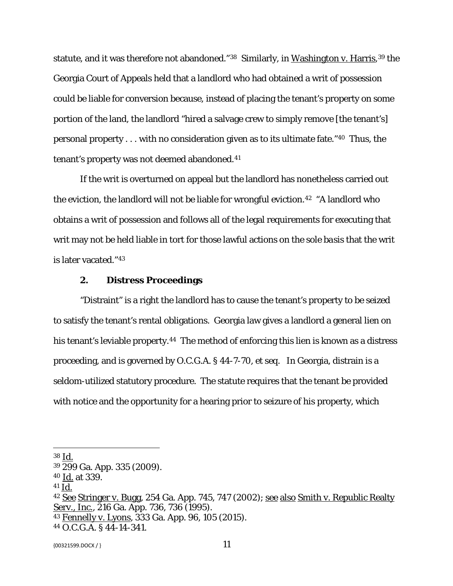statute, and it was therefore not abandoned."<sup>[38](#page-10-0)</sup> Similarly, in Washington v. Harris,<sup>[39](#page-10-1)</sup> the Georgia Court of Appeals held that a landlord who had obtained a writ of possession could be liable for conversion because, instead of placing the tenant's property on some portion of the land, the landlord "hired a salvage crew to simply remove [the tenant's] personal property . . . with no consideration given as to its ultimate fate."[40](#page-10-2) Thus, the tenant's property was not deemed abandoned.<sup>41</sup>

If the writ is overturned on appeal but the landlord has nonetheless carried out the eviction, the landlord will not be liable for wrongful eviction.<sup>[42](#page-10-4)</sup> "A landlord who obtains a writ of possession and follows all of the legal requirements for executing that writ may not be held liable in tort for those lawful actions on the *sole basis* that the writ is later vacated."[43](#page-10-5) 

### **2. Distress Proceedings**

"Distraint" is a right the landlord has to cause the tenant's property to be seized to satisfy the tenant's rental obligations. Georgia law gives a landlord a general lien on his tenant's leviable property.<sup>44</sup> The method of enforcing this lien is known as a distress proceeding, and is governed by O.C.G.A. § 44-7-70, *et seq.* In Georgia, distrain is a seldom-utilized statutory procedure. The statute requires that the tenant be provided with notice and the opportunity for a hearing prior to seizure of his property, which

<span id="page-10-0"></span><sup>38</sup> Id.

<span id="page-10-1"></span><sup>39</sup> 299 Ga. App. 335 (2009).

<span id="page-10-2"></span><sup>40</sup> Id. at 339.

<span id="page-10-3"></span><sup>41</sup> Id.

<span id="page-10-4"></span><sup>&</sup>lt;sup>42</sup> See Stringer v. Bugg, 254 Ga. App. 745, 747 (2002); <u>see also Smith v. Republic Realty</u> Serv., Inc., 216 Ga. App. 736, 736 (1995).

<span id="page-10-5"></span><sup>43</sup> Fennelly v. Lyons, 333 Ga. App. 96, 105 (2015).

<span id="page-10-6"></span><sup>44</sup> O.C.G.A. § 44-14-341.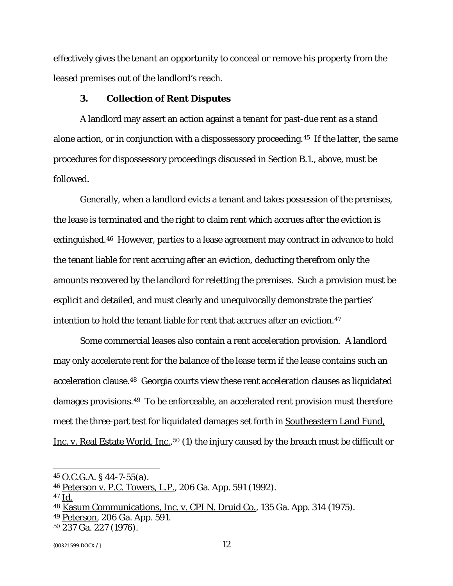effectively gives the tenant an opportunity to conceal or remove his property from the leased premises out of the landlord's reach.

### **3. Collection of Rent Disputes**

A landlord may assert an action against a tenant for past-due rent as a stand alone action, or in conjunction with a dispossessory proceeding.[45](#page-11-0) If the latter, the same procedures for dispossessory proceedings discussed in Section B.1., above, must be followed.

Generally, when a landlord evicts a tenant and takes possession of the premises, the lease is terminated and the right to claim rent which accrues after the eviction is extinguished.<sup>46</sup> However, parties to a lease agreement may contract in advance to hold the tenant liable for rent accruing after an eviction, deducting therefrom only the amounts recovered by the landlord for reletting the premises. Such a provision must be explicit and detailed, and must clearly and unequivocally demonstrate the parties' intention to hold the tenant liable for rent that accrues after an eviction.<sup>47</sup>

Some commercial leases also contain a rent acceleration provision. A landlord may only accelerate rent for the balance of the lease term if the lease contains such an acceleration clause.[48](#page-11-3) Georgia courts view these rent acceleration clauses as liquidated damages provisions.[49](#page-11-4) To be enforceable, an accelerated rent provision must therefore meet the three-part test for liquidated damages set forth in Southeastern Land Fund, Inc. v. Real Estate World, Inc., <sup>[50](#page-11-5)</sup> (1) the injury caused by the breach must be difficult or

<span id="page-11-0"></span><sup>45</sup> O.C.G.A. § 44-7-55(a).

<span id="page-11-1"></span><sup>46</sup> Peterson v. P.C. Towers, L.P., 206 Ga. App. 591 (1992).

<span id="page-11-2"></span><sup>47</sup> Id.

<span id="page-11-3"></span><sup>48</sup> Kasum Communications, Inc. v. CPI N. Druid Co., 135 Ga. App. 314 (1975).

<span id="page-11-4"></span><sup>49</sup> Peterson, 206 Ga. App. 591.

<span id="page-11-5"></span><sup>50</sup> 237 Ga. 227 (1976).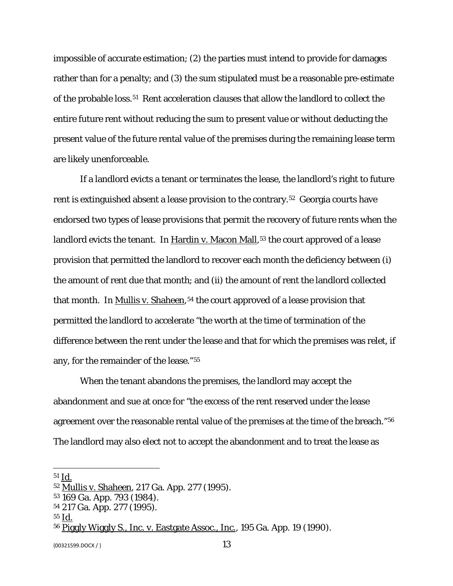impossible of accurate estimation; (2) the parties must intend to provide for damages rather than for a penalty; and (3) the sum stipulated must be a reasonable pre-estimate of the probable loss.<sup>51</sup> Rent acceleration clauses that allow the landlord to collect the entire future rent without reducing the sum to present value or without deducting the present value of the future rental value of the premises during the remaining lease term are likely unenforceable.

If a landlord evicts a tenant or terminates the lease, the landlord's right to future rent is extinguished absent a lease provision to the contrary.[52](#page-12-1) Georgia courts have endorsed two types of lease provisions that permit the recovery of future rents when the landlord evicts the tenant. In Hardin v. Macon Mall,<sup>[53](#page-12-2)</sup> the court approved of a lease provision that permitted the landlord to recover each month the deficiency between (i) the amount of rent due that month; and (ii) the amount of rent the landlord collected that month. In Mullis v. Shaheen,<sup>[54](#page-12-3)</sup> the court approved of a lease provision that permitted the landlord to accelerate "the worth at the time of termination of the difference between the rent under the lease and that for which the premises was relet, if any, for the remainder of the lease."[55](#page-12-4)

When the tenant abandons the premises, the landlord may accept the abandonment and sue at once for "the excess of the rent reserved under the lease agreement over the reasonable rental value of the premises at the time of the breach."[56](#page-12-5)  The landlord may also elect not to accept the abandonment and to treat the lease as

 $\overline{\phantom{a}}$ 

 ${13}$ 

<span id="page-12-0"></span><sup>51</sup> Id.

<span id="page-12-1"></span><sup>52</sup> Mullis v. Shaheen, 217 Ga. App. 277 (1995).

<span id="page-12-2"></span><sup>53</sup> 169 Ga. App. 793 (1984).

<span id="page-12-3"></span><sup>54</sup> 217 Ga. App. 277 (1995).

<span id="page-12-4"></span><sup>55</sup> Id.

<span id="page-12-5"></span><sup>56</sup> Piggly Wiggly S., Inc. v. Eastgate Assoc., Inc., 195 Ga. App. 19 (1990).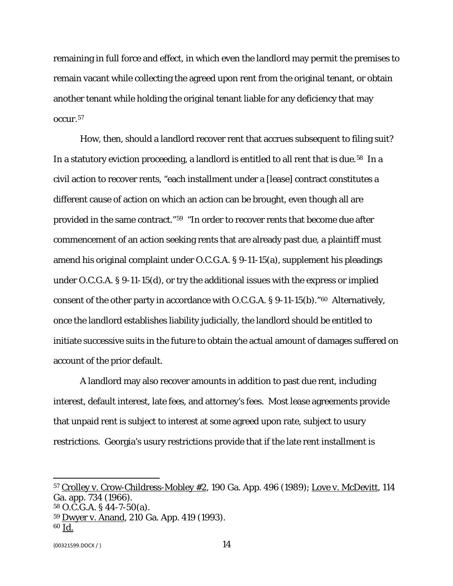remaining in full force and effect, in which even the landlord may permit the premises to remain vacant while collecting the agreed upon rent from the original tenant, or obtain another tenant while holding the original tenant liable for any deficiency that may occur.[57](#page-13-0)

How, then, should a landlord recover rent that accrues subsequent to filing suit? In a statutory eviction proceeding, a landlord is entitled to all rent that is due.<sup>58</sup> In a civil action to recover rents, "each installment under a [lease] contract constitutes a different cause of action on which an action can be brought, even though all are provided in the same contract."[59](#page-13-2) "In order to recover rents that become due after commencement of an action seeking rents that are already past due, a plaintiff must amend his original complaint under O.C.G.A. § 9-11-15(a), supplement his pleadings under O.C.G.A. § 9-11-15(d), or try the additional issues with the express or implied consent of the other party in accordance with O.C.G.A. § 9-11-15(b)."[60](#page-13-3) Alternatively, once the landlord establishes liability judicially, the landlord should be entitled to initiate successive suits in the future to obtain the actual amount of damages suffered on account of the prior default.

A landlord may also recover amounts in addition to past due rent, including interest, default interest, late fees, and attorney's fees. Most lease agreements provide that unpaid rent is subject to interest at some agreed upon rate, subject to usury restrictions. Georgia's usury restrictions provide that if the late rent installment is

<span id="page-13-0"></span><sup>57</sup> Crolley v. Crow-Childress-Mobley #2, 190 Ga. App. 496 (1989); Love v. McDevitt, 114 Ga. app. 734 (1966).

<span id="page-13-1"></span><sup>58</sup> O.C.G.A. § 44-7-50(a).

<span id="page-13-2"></span><sup>59</sup> Dwyer v. Anand, 210 Ga. App. 419 (1993).

<span id="page-13-3"></span><sup>60</sup> Id.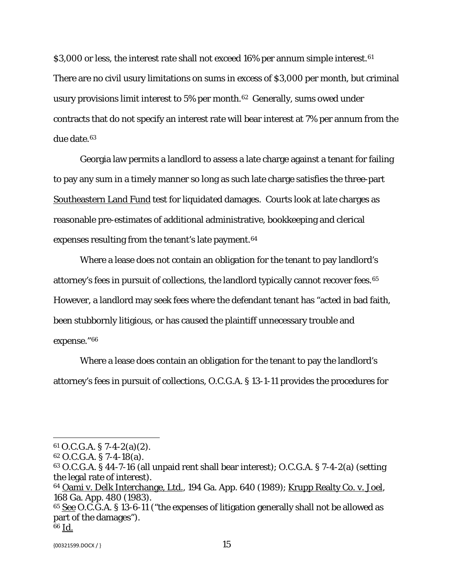\$3,000 or less, the interest rate shall not exceed 16% per annum simple interest.<sup>61</sup> There are no civil usury limitations on sums in excess of \$3,000 per month, but criminal usury provisions limit interest to 5% per month.<sup>[62](#page-14-1)</sup> Generally, sums owed under contracts that do not specify an interest rate will bear interest at 7% per annum from the due date.[63](#page-14-2)

Georgia law permits a landlord to assess a late charge against a tenant for failing to pay any sum in a timely manner so long as such late charge satisfies the three-part Southeastern Land Fund test for liquidated damages. Courts look at late charges as reasonable pre-estimates of additional administrative, bookkeeping and clerical expenses resulting from the tenant's late payment.<sup>64</sup>

Where a lease does not contain an obligation for the tenant to pay landlord's attorney's fees in pursuit of collections, the landlord typically cannot recover fees.[65](#page-14-4)  However, a landlord may seek fees where the defendant tenant has "acted in bad faith, been stubbornly litigious, or has caused the plaintiff unnecessary trouble and expense."[66](#page-14-5)

Where a lease does contain an obligation for the tenant to pay the landlord's attorney's fees in pursuit of collections, O.C.G.A. § 13-1-11 provides the procedures for

<span id="page-14-0"></span> $61$  O.C.G.A. § 7-4-2(a)(2).

<span id="page-14-1"></span><sup>62</sup> O.C.G.A. § 7-4-18(a).

<span id="page-14-2"></span><sup>63</sup> O.C.G.A. § 44-7-16 (all unpaid rent shall bear interest); O.C.G.A. § 7-4-2(a) (setting the legal rate of interest).

<span id="page-14-3"></span><sup>&</sup>lt;sup>64</sup> Oami v. Delk Interchange, Ltd., 194 Ga. App. 640 (1989); <u>Krupp Realty Co. v. Joel</u>, 168 Ga. App. 480 (1983).

<span id="page-14-4"></span><sup>&</sup>lt;sup>65</sup> See O.C.G.A. § 13-6-11 ("the expenses of litigation generally shall not be allowed as part of the damages").

<span id="page-14-5"></span><sup>66</sup> Id.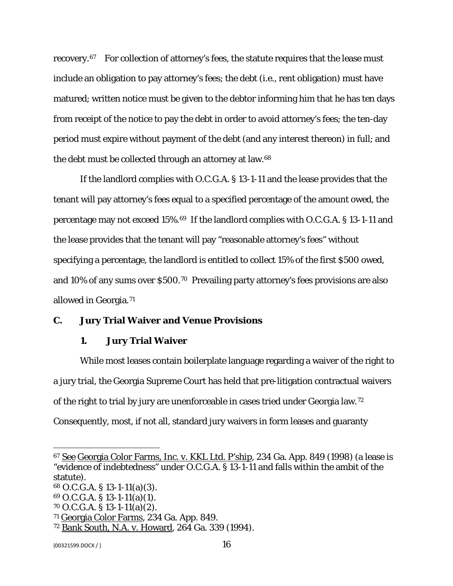recovery.[67](#page-15-0) For collection of attorney's fees, the statute requires that the lease must include an obligation to pay attorney's fees; the debt (i.e., rent obligation) must have matured; written notice must be given to the debtor informing him that he has ten days from receipt of the notice to pay the debt in order to avoid attorney's fees; the ten-day period must expire without payment of the debt (and any interest thereon) in full; and the debt must be collected through an attorney at law.[68](#page-15-1)

If the landlord complies with O.C.G.A. § 13-1-11 and the lease provides that the tenant will pay attorney's fees equal to a specified percentage of the amount owed, the percentage may not exceed 15%.[69](#page-15-2) If the landlord complies with O.C.G.A. § 13-1-11 and the lease provides that the tenant will pay "reasonable attorney's fees" without specifying a percentage, the landlord is entitled to collect 15% of the first \$500 owed, and 10% of any sums over \$500.[70](#page-15-3) Prevailing party attorney's fees provisions are also allowed in Georgia.[71](#page-15-4)

# **C. Jury Trial Waiver and Venue Provisions**

### **1. Jury Trial Waiver**

While most leases contain boilerplate language regarding a waiver of the right to a jury trial, the Georgia Supreme Court has held that pre-litigation contractual waivers of the right to trial by jury are unenforceable in cases tried under Georgia law.[72](#page-15-5)  Consequently, most, if not all, standard jury waivers in form leases and guaranty

<span id="page-15-2"></span><sup>69</sup> O.C.G.A. § 13-1-11(a)(1).

<span id="page-15-0"></span><sup>67</sup> See Georgia Color Farms, Inc. v. KKL Ltd. P'ship, 234 Ga. App. 849 (1998) (a lease is "evidence of indebtedness" under O.C.G.A. § 13-1-11 and falls within the ambit of the statute).

<span id="page-15-1"></span><sup>68</sup> O.C.G.A. § 13-1-11(a)(3).

<span id="page-15-3"></span><sup>70</sup> O.C.G.A. § 13-1-11(a)(2).

<span id="page-15-4"></span><sup>71</sup> Georgia Color Farms, 234 Ga. App. 849.

<span id="page-15-5"></span><sup>72</sup> Bank South, N.A. v. Howard, 264 Ga. 339 (1994).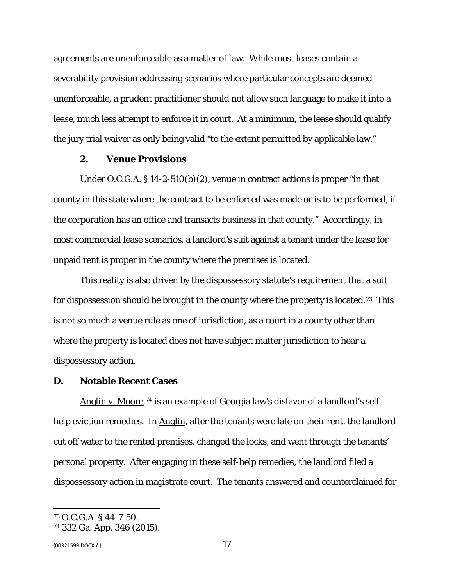agreements are unenforceable as a matter of law. While most leases contain a severability provision addressing scenarios where particular concepts are deemed unenforceable, a prudent practitioner should not allow such language to make it into a lease, much less attempt to enforce it in court. At a minimum, the lease should qualify the jury trial waiver as only being valid "to the extent permitted by applicable law."

### **2. Venue Provisions**

Under O.C.G.A. § 14-2-510(b)(2), venue in contract actions is proper "in that county in this state where the contract to be enforced was made or is to be performed, if the corporation has an office and transacts business in that county." Accordingly, in most commercial lease scenarios, a landlord's suit against a tenant under the lease for unpaid rent is proper in the county where the premises is located.

This reality is also driven by the dispossessory statute's requirement that a suit for dispossession should be brought in the county where the property is located.[73](#page-16-0) This is not so much a venue rule as one of jurisdiction, as a court in a county other than where the property is located does not have subject matter jurisdiction to hear a dispossessory action.

## **D. Notable Recent Cases**

Anglin v. Moore,<sup>[74](#page-16-1)</sup> is an example of Georgia law's disfavor of a landlord's selfhelp eviction remedies. In Anglin, after the tenants were late on their rent, the landlord cut off water to the rented premises, changed the locks, and went through the tenants' personal property. After engaging in these self-help remedies, the landlord filed a dispossessory action in magistrate court. The tenants answered and counterclaimed for

 ${17}$ 

<span id="page-16-0"></span><sup>73</sup> O.C.G.A. § 44-7-50.

<span id="page-16-1"></span><sup>74</sup> 332 Ga. App. 346 (2015).